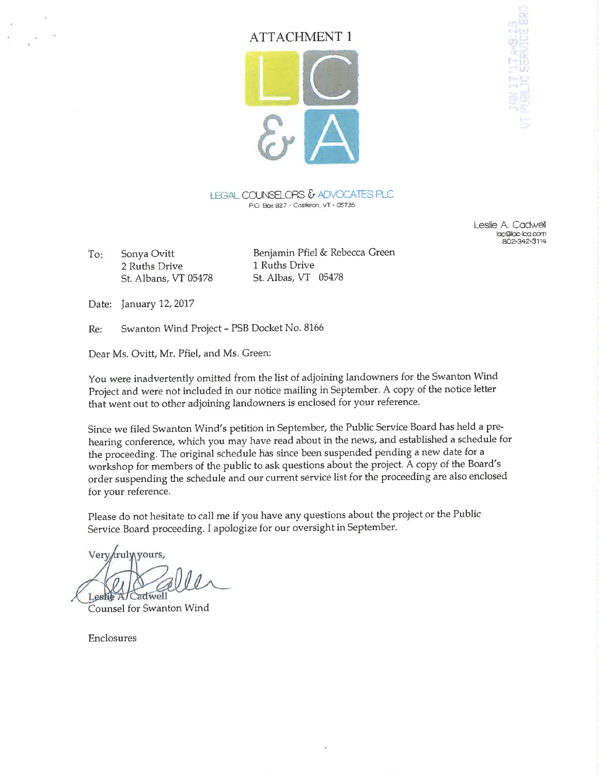# ATTACHMENT 1



LEGAL COUNSELORS & ADVOCATES PLC P.O. Box  $327 +$  Castleton. VT $+$  05735

> Leslie A. Codwell loc@bc-bo.corn æ2.342.3114

To: Sonya Ovitt 2 Ruths Drive St. Albans, VT 05478

Benjamin Pfiel & Rebecca Green 1 Ruths Drive St. Albas, VT <sup>05478</sup>

Date: January 12, 2017

Re: Swanton Wind Project - PSB Docket No. 8166

Dear Ms. Ovitt, Mr. Pfiel, and Ms. Green:

You were inadvertently omitted from the list of adjoining landowners for the Swanton Wind Project and were not included in our notice mailing in September. A copy of the notice letter that went out to other adjoining landowners is enclosed for your reference.

Since we filed Swanton Wind's petition in September, the Public Service Board has held a prehearing conference, which you may have read about in the news, and established a schedule for the proceeding. The original schedule has since been suspended pending a new date for a workshop for members of the public to ask questions about the project. A copy of the Board's order suspending the schedule and our current service list for the proceeding are also enclosed for your reference.

Please do not hesitate to call me if you have any questions about the project or the Public Service Board proceeding. I apologize for our oversight in September.

Very fruly yours, Leshe A/Cadwell

Counsel for Swanton Wind

Enclosures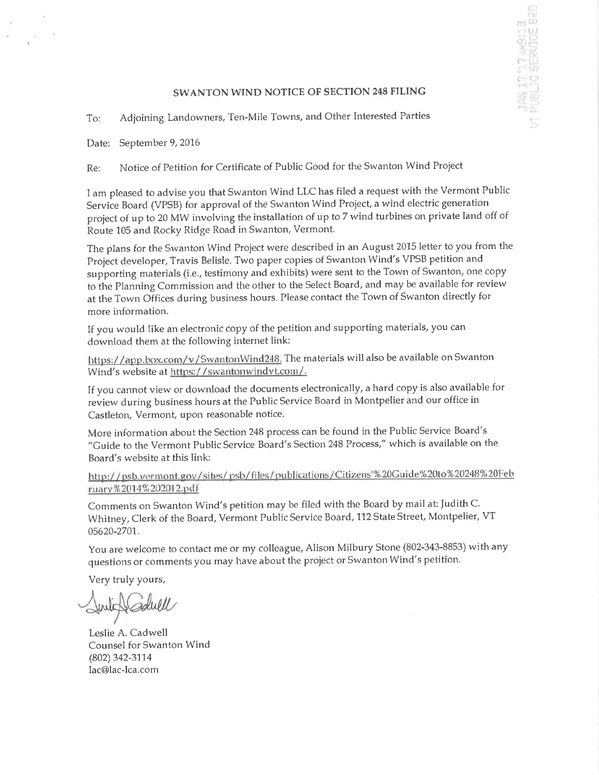## SWANTON WIND NOTICE OF SECTION 248 FILING

it',

an <sup>an</sup>

To: Adjoining Landowners, Ten-Mile Towns, and Other Interested Parties

Date: September 9, 2016

 $\alpha$ 

Re: Notice of Petition for Certificate of Public Good for the Swanton Wind Project

I am pleased to advise you that Swanton Wind LLC has filed a request with the Vermont Public Service Board (VPSB) for approval of the Swanton Wind Project, a wind electric generation project of up to 20 MW involving the installation of up to 7 wind turbines on private land off of Route 105 and Rocky Ridge Road in Swanton, Vermont.

The plans for the Swanton Wind Project were described in an August 2015 letter to you from the Project developer, Travis Belisle. Two paper copies of Swanton Wind's VPSB petition and supporting materials (i.e., testimony and exhibits) were sent to the Town of Swanton, one copy to the Planning Commission and the other to the Select Board, and may be available for review at the Town Offices during business hours. Please contact the Town of Swanton directly for more information.

If you would like an electronic copy of the petition and supporting materials, you can download them at the following internet link:

https://app.box.com/v/SwantonWind248. The materials will also be available on Swanton Wind's website at https://swantonwindvt.com/.

If you cannot view or download the documents electronically, a hard copy is also available for review during business hours at the Public Service Board in Montpelier and our office in Castleton, Vermont, upon reasonable notice.

More information about the Section 248 process can be found in the Public Service Board's "Guide to the Vermont Public Service Board's Section 248 Process," which is available on the Board's website at this link:

http://psb.vermont.gov/sites/psb/files/publications/Citizens'%20Guide%20to%20248%20Feb ruary%2014%202012.pdf

Comments on Swanton Wind's petition may be filed with the Board by mail at: Judith C. Whitney, Clerk of the Board, Vermont Public Service Board, 112 State Street, Montpelier, VT 05620-2701.

You are welcome to contact me or my colleague, Alison Milbury Stone (802-343-8853) with any questions or comments you may have about the project or Swanton Wind's petition.

Very truly yours,

Leslie A. Cadwell Counsel for Swanton Wind (802)342-3114 lac@lac-lca.com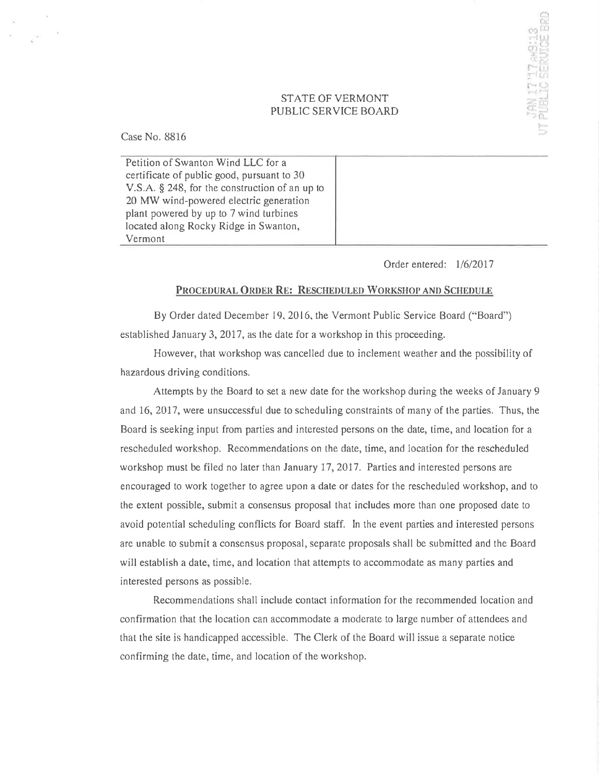### STATE OF VERMONT PUBLIC SERVICE BOARD

Case No. 8816

Petition of Swanton Wind LLC for <sup>a</sup> certificate of public good, pursuant to 30 V.S.A. \$ 248, for the construction of an up to 20 MW wind-powered electric generation plant powered by up to 7 wind turbines located along Rocky Ridge in Swanton, Vermont

Order entered:  $1/6/2017$ 

I i.'

n<br>I: Ll<br>I: C

¡t 1. ), j:''r <sup>r</sup><sup>i</sup> . -r': <sup>l</sup>

 $\pm \frac{1}{2}$  $f \circ f$ as  $\frac{d}{dt}$ tt. ,,

#### PROCEDURAL ORDER RE: RESCHEDULED WORKSHOP AND SCHEDULE

By Order dated December 19. 2016. the Vermont Public Service Board ("Board") established January 3, 2017, as the date for a workshop in this proceeding.

However, that workshop was cancelled due to inclement weather and the possibility of hazardous driving conditions.

Attempts by the Board to set a new date for the workshop during the weeks of January 9 and 16, 2017, were unsuccessful due to scheduling constraints of many of the parties. Thus, the Board is seeking input from parties and interested persons on the date, time, and location for a rescheduled workshop. Recommendations on the date, time, and location for the rescheduled workshop must be filed no later than January 17,2017. Parties and interested persons are encouraged to work together to agree upon a date or dates for the rescheduled workshop, and to the extent possible, submit a consensus proposal that includes more than one proposed date to avoid potential scheduling conflicts for Board staff. In the event parties and interested persons are unable to submit a consensus proposal, separate proposals shall be submitted and the Board will establish a date, time, and location that attempts to accommodate as many parties and interested persons as possible.

Recommendations shall include contact information for the recommended location and confirmation that the location can accommodate a moderate to large number of attendees and that the site is handicapped accessible. The Clerk of the Board will issue a separate notice confirming the date, time, and location of the workshop.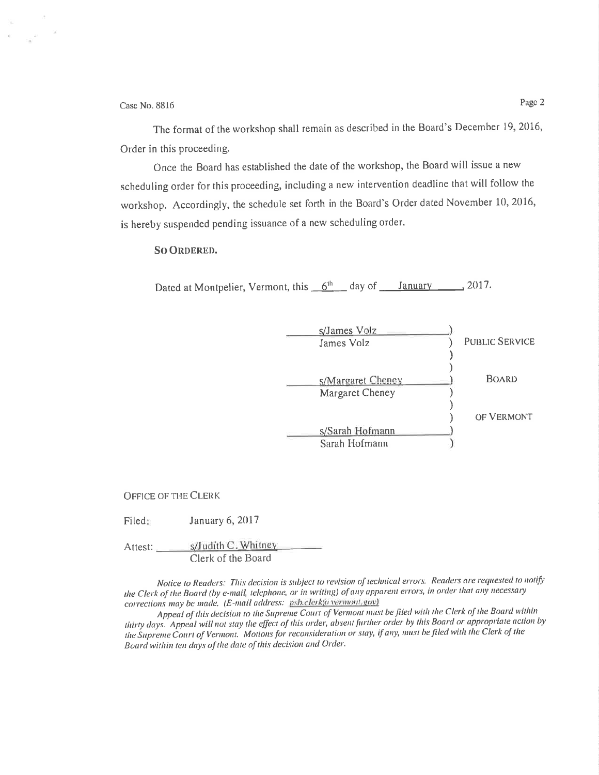Case No. 8816

 $\omega^c$  $\mathcal{M}(\mathcal{C})$ 

> The format of the workshop shall remain as described in the Board's December 19, 2016, Order in this proceeding.

Once the Board has established the date of the workshop, the Board will issue a new scheduling order for this proceeding, including a new intervention deadline that will follow the workshop. Accordingly, the schedule set forth in the Board's Order dated November 10, 2016, is hereby suspended pending issuance of a new scheduling order.

**SO ORDERED.** 

Dated at Montpelier, Vermont, this 6th age of January 3017.

| s/James Volz      |                       |
|-------------------|-----------------------|
| James Volz        | <b>PUBLIC SERVICE</b> |
|                   |                       |
| s/Margaret Cheney | <b>BOARD</b>          |
| Margaret Cheney   |                       |
|                   |                       |
|                   | OF VERMONT            |
| s/Sarah Hofmann   |                       |
| Sarah Hofmann     |                       |

**OFFICE OF THE CLERK** 

January 6, 2017 Filed:

Attest: \_\_\_\_\_\_\_\_\_ s/Judith C. Whitney Clerk of the Board

Notice to Readers: This decision is subject to revision of technical errors. Readers are requested to notify the Clerk of the Board (by e-mail, telephone, or in writing) of any apparent errors, in order that any necessary corrections may be made. (E-mail address: psb.clerk@vermont.gov)

Appeal of this decision to the Supreme Court of Vermont must be filed with the Clerk of the Board within thirty days. Appeal will not stay the effect of this order, absent further order by this Board or appropriate action by the Supreme Court of Vermont. Motions for reconsideration or stay, if any, must be filed with the Clerk of the Board within ten days of the date of this decision and Order.